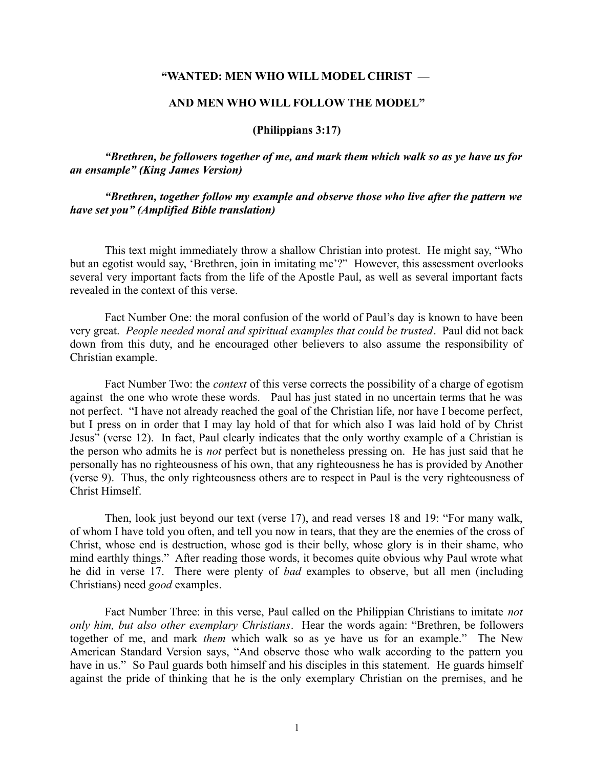## **"WANTED: MEN WHO WILL MODEL CHRIST —**

## **AND MEN WHO WILL FOLLOW THE MODEL"**

### **(Philippians 3:17)**

*"Brethren, be followers together of me, and mark them which walk so as ye have us for an ensample" (King James Version)*

*"Brethren, together follow my example and observe those who live after the pattern we have set you" (Amplified Bible translation)*

This text might immediately throw a shallow Christian into protest. He might say, "Who but an egotist would say, 'Brethren, join in imitating me'?" However, this assessment overlooks several very important facts from the life of the Apostle Paul, as well as several important facts revealed in the context of this verse.

Fact Number One: the moral confusion of the world of Paul's day is known to have been very great. *People needed moral and spiritual examples that could be trusted*. Paul did not back down from this duty, and he encouraged other believers to also assume the responsibility of Christian example.

Fact Number Two: the *context* of this verse corrects the possibility of a charge of egotism against the one who wrote these words. Paul has just stated in no uncertain terms that he was not perfect. "I have not already reached the goal of the Christian life, nor have I become perfect, but I press on in order that I may lay hold of that for which also I was laid hold of by Christ Jesus" (verse 12). In fact, Paul clearly indicates that the only worthy example of a Christian is the person who admits he is *not* perfect but is nonetheless pressing on. He has just said that he personally has no righteousness of his own, that any righteousness he has is provided by Another (verse 9). Thus, the only righteousness others are to respect in Paul is the very righteousness of Christ Himself.

Then, look just beyond our text (verse 17), and read verses 18 and 19: "For many walk, of whom I have told you often, and tell you now in tears, that they are the enemies of the cross of Christ, whose end is destruction, whose god is their belly, whose glory is in their shame, who mind earthly things." After reading those words, it becomes quite obvious why Paul wrote what he did in verse 17. There were plenty of *bad* examples to observe, but all men (including Christians) need *good* examples.

Fact Number Three: in this verse, Paul called on the Philippian Christians to imitate *not only him, but also other exemplary Christians*. Hear the words again: "Brethren, be followers together of me, and mark *them* which walk so as ye have us for an example." The New American Standard Version says, "And observe those who walk according to the pattern you have in us." So Paul guards both himself and his disciples in this statement. He guards himself against the pride of thinking that he is the only exemplary Christian on the premises, and he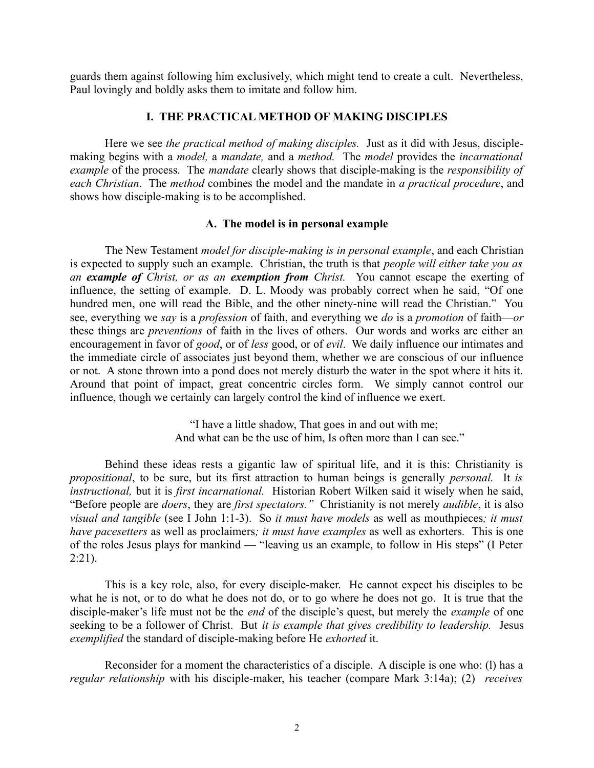guards them against following him exclusively, which might tend to create a cult. Nevertheless, Paul lovingly and boldly asks them to imitate and follow him.

# **I. THE PRACTICAL METHOD OF MAKING DISCIPLES**

Here we see *the practical method of making disciples.* Just as it did with Jesus, disciplemaking begins with a *model,* a *mandate,* and a *method.* The *model* provides the *incarnational example* of the process. The *mandate* clearly shows that disciple-making is the *responsibility of each Christian*. The *method* combines the model and the mandate in *a practical procedure*, and shows how disciple-making is to be accomplished.

# **A. The model is in personal example**

The New Testament *model for disciple-making is in personal example*, and each Christian is expected to supply such an example. Christian, the truth is that *people will either take you as an example of Christ, or as an exemption from Christ.* You cannot escape the exerting of influence, the setting of example. D. L. Moody was probably correct when he said, "Of one hundred men, one will read the Bible, and the other ninety-nine will read the Christian." You see, everything we *say* is a *profession* of faith, and everything we *do* is a *promotion* of faith—*or* these things are *preventions* of faith in the lives of others. Our words and works are either an encouragement in favor of *good*, or of *less* good, or of *evil*. We daily influence our intimates and the immediate circle of associates just beyond them, whether we are conscious of our influence or not. A stone thrown into a pond does not merely disturb the water in the spot where it hits it. Around that point of impact, great concentric circles form. We simply cannot control our influence, though we certainly can largely control the kind of influence we exert.

> "I have a little shadow, That goes in and out with me; And what can be the use of him, Is often more than I can see."

Behind these ideas rests a gigantic law of spiritual life, and it is this: Christianity is *propositional*, to be sure, but its first attraction to human beings is generally *personal.* It *is instructional,* but it is *first incarnational.* Historian Robert Wilken said it wisely when he said, "Before people are *doers*, they are *first spectators."* Christianity is not merely *audible*, it is also *visual and tangible* (see I John 1:1-3). So *it must have models* as well as mouthpieces*; it must have pacesetters* as well as proclaimers*; it must have examples* as well as exhorters*.* This is one of the roles Jesus plays for mankind — "leaving us an example, to follow in His steps" (I Peter 2:21).

This is a key role, also, for every disciple-maker. He cannot expect his disciples to be what he is not, or to do what he does not do, or to go where he does not go. It is true that the disciple-maker's life must not be the *end* of the disciple's quest, but merely the *example* of one seeking to be a follower of Christ. But *it is example that gives credibility to leadership.* Jesus *exemplified* the standard of disciple-making before He *exhorted* it.

Reconsider for a moment the characteristics of a disciple. A disciple is one who: (l) has a *regular relationship* with his disciple-maker, his teacher (compare Mark 3:14a); (2) *receives*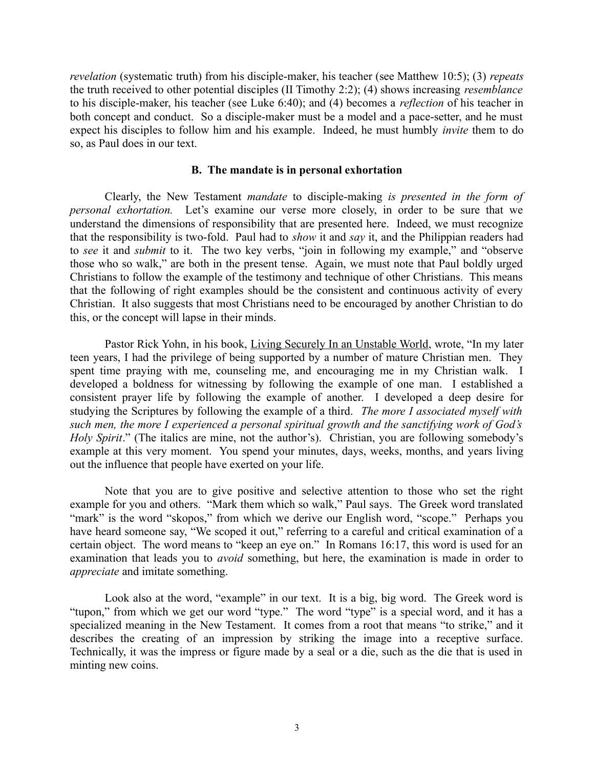*revelation* (systematic truth) from his disciple-maker, his teacher (see Matthew 10:5); (3) *repeats* the truth received to other potential disciples (II Timothy 2:2); (4) shows increasing *resemblance* to his disciple-maker, his teacher (see Luke 6:40); and (4) becomes a *reflection* of his teacher in both concept and conduct. So a disciple-maker must be a model and a pace-setter, and he must expect his disciples to follow him and his example. Indeed, he must humbly *invite* them to do so, as Paul does in our text.

### **B. The mandate is in personal exhortation**

Clearly, the New Testament *mandate* to disciple-making *is presented in the form of personal exhortation.* Let's examine our verse more closely, in order to be sure that we understand the dimensions of responsibility that are presented here. Indeed, we must recognize that the responsibility is two-fold. Paul had to *show* it and *say* it, and the Philippian readers had to *see* it and *submit* to it. The two key verbs, "join in following my example," and "observe those who so walk," are both in the present tense. Again, we must note that Paul boldly urged Christians to follow the example of the testimony and technique of other Christians. This means that the following of right examples should be the consistent and continuous activity of every Christian. It also suggests that most Christians need to be encouraged by another Christian to do this, or the concept will lapse in their minds.

Pastor Rick Yohn, in his book, Living Securely In an Unstable World, wrote, "In my later teen years, I had the privilege of being supported by a number of mature Christian men. They spent time praying with me, counseling me, and encouraging me in my Christian walk. I developed a boldness for witnessing by following the example of one man. I established a consistent prayer life by following the example of another. I developed a deep desire for studying the Scriptures by following the example of a third. *The more I associated myself with such men, the more I experienced a personal spiritual growth and the sanctifying work of God's Holy Spirit*." (The italics are mine, not the author's). Christian, you are following somebody's example at this very moment. You spend your minutes, days, weeks, months, and years living out the influence that people have exerted on your life.

Note that you are to give positive and selective attention to those who set the right example for you and others. "Mark them which so walk," Paul says. The Greek word translated "mark" is the word "skopos," from which we derive our English word, "scope." Perhaps you have heard someone say, "We scoped it out," referring to a careful and critical examination of a certain object. The word means to "keep an eye on." In Romans 16:17, this word is used for an examination that leads you to *avoid* something, but here, the examination is made in order to *appreciate* and imitate something.

Look also at the word, "example" in our text. It is a big, big word. The Greek word is "tupon," from which we get our word "type." The word "type" is a special word, and it has a specialized meaning in the New Testament. It comes from a root that means "to strike," and it describes the creating of an impression by striking the image into a receptive surface. Technically, it was the impress or figure made by a seal or a die, such as the die that is used in minting new coins.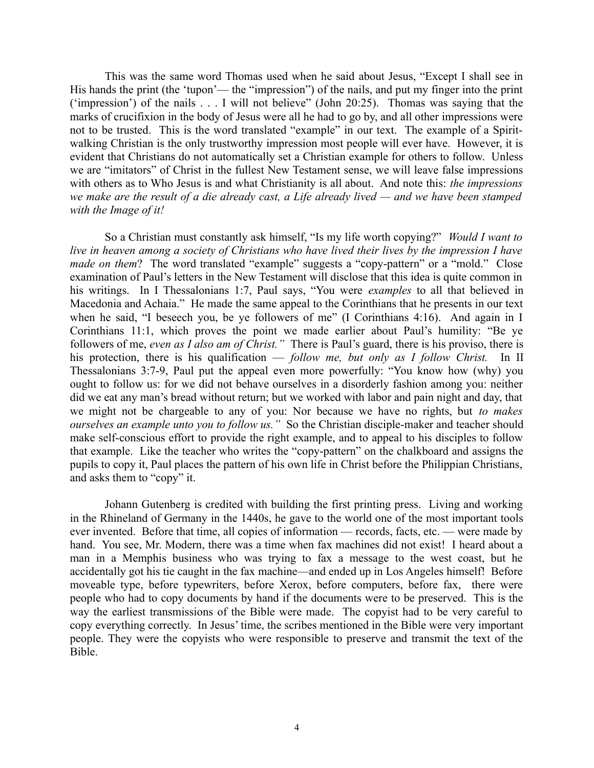This was the same word Thomas used when he said about Jesus, "Except I shall see in His hands the print (the 'tupon'— the "impression") of the nails, and put my finger into the print ('impression') of the nails . . . I will not believe" (John 20:25). Thomas was saying that the marks of crucifixion in the body of Jesus were all he had to go by, and all other impressions were not to be trusted. This is the word translated "example" in our text. The example of a Spiritwalking Christian is the only trustworthy impression most people will ever have. However, it is evident that Christians do not automatically set a Christian example for others to follow. Unless we are "imitators" of Christ in the fullest New Testament sense, we will leave false impressions with others as to Who Jesus is and what Christianity is all about. And note this: *the impressions we make are the result of a die already cast, a Life already lived — and we have been stamped with the Image of it!*

So a Christian must constantly ask himself, "Is my life worth copying?" *Would I want to live in heaven among a society of Christians who have lived their lives by the impression I have made on them*? The word translated "example" suggests a "copy-pattern" or a "mold." Close examination of Paul's letters in the New Testament will disclose that this idea is quite common in his writings. In I Thessalonians 1:7, Paul says, "You were *examples* to all that believed in Macedonia and Achaia." He made the same appeal to the Corinthians that he presents in our text when he said, "I beseech you, be ye followers of me" (I Corinthians 4:16). And again in I Corinthians 11:1, which proves the point we made earlier about Paul's humility: "Be ye followers of me, *even as I also am of Christ."* There is Paul's guard, there is his proviso, there is his protection, there is his qualification — *follow me, but only as I follow Christ.* In II Thessalonians 3:7-9, Paul put the appeal even more powerfully: "You know how (why) you ought to follow us: for we did not behave ourselves in a disorderly fashion among you: neither did we eat any man's bread without return; but we worked with labor and pain night and day, that we might not be chargeable to any of you: Nor because we have no rights, but *to makes ourselves an example unto you to follow us."* So the Christian disciple-maker and teacher should make self-conscious effort to provide the right example, and to appeal to his disciples to follow that example. Like the teacher who writes the "copy-pattern" on the chalkboard and assigns the pupils to copy it, Paul places the pattern of his own life in Christ before the Philippian Christians, and asks them to "copy" it.

Johann Gutenberg is credited with building the first printing press. Living and working in the Rhineland of Germany in the 1440s, he gave to the world one of the most important tools ever invented. Before that time, all copies of information — records, facts, etc. — were made by hand. You see, Mr. Modern, there was a time when fax machines did not exist! I heard about a man in a Memphis business who was trying to fax a message to the west coast, but he accidentally got his tie caught in the fax machine—and ended up in Los Angeles himself! Before moveable type, before typewriters, before Xerox, before computers, before fax, there were people who had to copy documents by hand if the documents were to be preserved. This is the way the earliest transmissions of the Bible were made. The copyist had to be very careful to copy everything correctly. In Jesus' time, the scribes mentioned in the Bible were very important people. They were the copyists who were responsible to preserve and transmit the text of the Bible.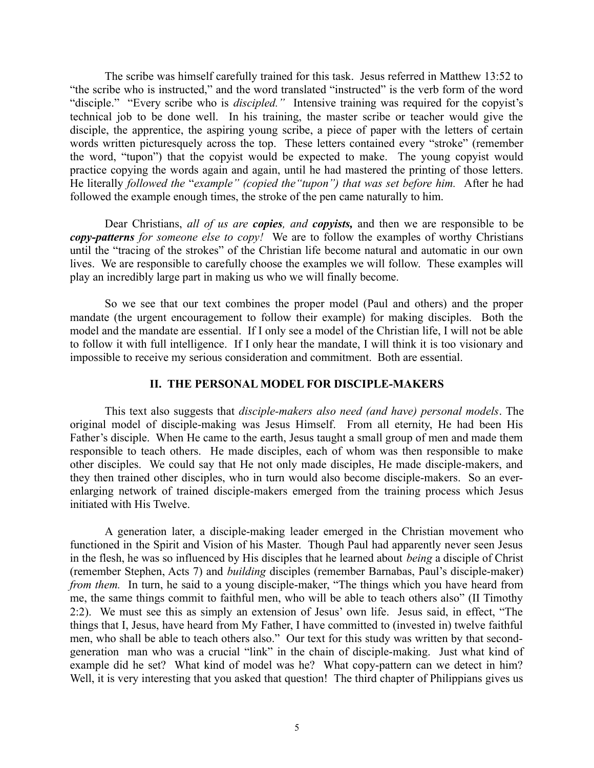The scribe was himself carefully trained for this task. Jesus referred in Matthew 13:52 to "the scribe who is instructed," and the word translated "instructed" is the verb form of the word "disciple." "Every scribe who is *discipled."* Intensive training was required for the copyist's technical job to be done well. In his training, the master scribe or teacher would give the disciple, the apprentice, the aspiring young scribe, a piece of paper with the letters of certain words written picturesquely across the top. These letters contained every "stroke" (remember the word, "tupon") that the copyist would be expected to make. The young copyist would practice copying the words again and again, until he had mastered the printing of those letters. He literally *followed the* "*example" (copied the"tupon") that was set before him.* After he had followed the example enough times, the stroke of the pen came naturally to him.

Dear Christians, *all of us are copies, and copyists,* and then we are responsible to be *copy-patterns for someone else to copy!* We are to follow the examples of worthy Christians until the "tracing of the strokes" of the Christian life become natural and automatic in our own lives. We are responsible to carefully choose the examples we will follow. These examples will play an incredibly large part in making us who we will finally become.

So we see that our text combines the proper model (Paul and others) and the proper mandate (the urgent encouragement to follow their example) for making disciples. Both the model and the mandate are essential. If I only see a model of the Christian life, I will not be able to follow it with full intelligence. If I only hear the mandate, I will think it is too visionary and impossible to receive my serious consideration and commitment. Both are essential.

# **II. THE PERSONAL MODEL FOR DISCIPLE-MAKERS**

This text also suggests that *disciple-makers also need (and have) personal models*. The original model of disciple-making was Jesus Himself. From all eternity, He had been His Father's disciple. When He came to the earth, Jesus taught a small group of men and made them responsible to teach others. He made disciples, each of whom was then responsible to make other disciples. We could say that He not only made disciples, He made disciple-makers, and they then trained other disciples, who in turn would also become disciple-makers. So an everenlarging network of trained disciple-makers emerged from the training process which Jesus initiated with His Twelve.

A generation later, a disciple-making leader emerged in the Christian movement who functioned in the Spirit and Vision of his Master. Though Paul had apparently never seen Jesus in the flesh, he was so influenced by His disciples that he learned about *being* a disciple of Christ (remember Stephen, Acts 7) and *building* disciples (remember Barnabas, Paul's disciple-maker) *from them.* In turn, he said to a young disciple-maker, "The things which you have heard from me, the same things commit to faithful men, who will be able to teach others also" (II Timothy 2:2). We must see this as simply an extension of Jesus' own life. Jesus said, in effect, "The things that I, Jesus, have heard from My Father, I have committed to (invested in) twelve faithful men, who shall be able to teach others also." Our text for this study was written by that secondgeneration man who was a crucial "link" in the chain of disciple-making. Just what kind of example did he set? What kind of model was he? What copy-pattern can we detect in him? Well, it is very interesting that you asked that question! The third chapter of Philippians gives us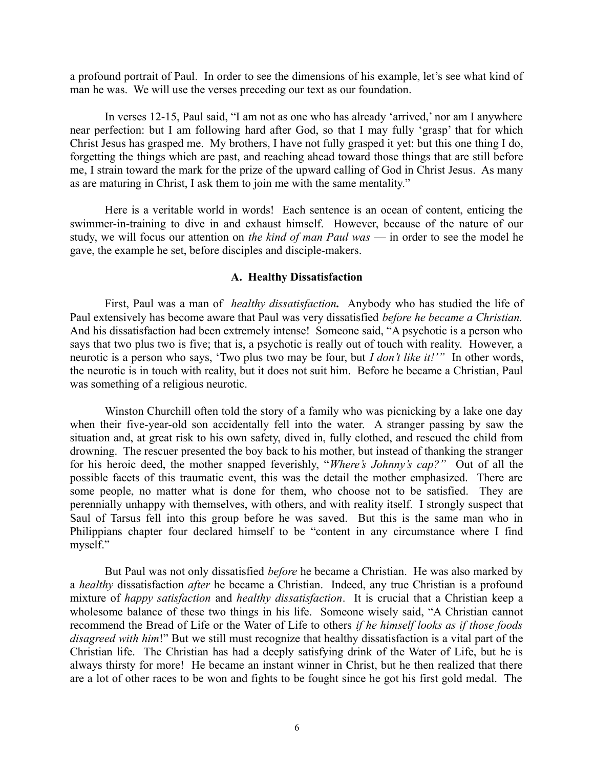a profound portrait of Paul. In order to see the dimensions of his example, let's see what kind of man he was. We will use the verses preceding our text as our foundation.

In verses 12-15, Paul said, "I am not as one who has already 'arrived,' nor am I anywhere near perfection: but I am following hard after God, so that I may fully 'grasp' that for which Christ Jesus has grasped me. My brothers, I have not fully grasped it yet: but this one thing I do, forgetting the things which are past, and reaching ahead toward those things that are still before me, I strain toward the mark for the prize of the upward calling of God in Christ Jesus. As many as are maturing in Christ, I ask them to join me with the same mentality."

Here is a veritable world in words! Each sentence is an ocean of content, enticing the swimmer-in-training to dive in and exhaust himself. However, because of the nature of our study, we will focus our attention on *the kind of man Paul was* — in order to see the model he gave, the example he set, before disciples and disciple-makers.

### **A. Healthy Dissatisfaction**

First, Paul was a man of *healthy dissatisfaction.* Anybody who has studied the life of Paul extensively has become aware that Paul was very dissatisfied *before he became a Christian.* And his dissatisfaction had been extremely intense! Someone said, "A psychotic is a person who says that two plus two is five; that is, a psychotic is really out of touch with reality. However, a neurotic is a person who says, 'Two plus two may be four, but *I don't like it!'"* In other words, the neurotic is in touch with reality, but it does not suit him. Before he became a Christian, Paul was something of a religious neurotic.

Winston Churchill often told the story of a family who was picnicking by a lake one day when their five-year-old son accidentally fell into the water. A stranger passing by saw the situation and, at great risk to his own safety, dived in, fully clothed, and rescued the child from drowning. The rescuer presented the boy back to his mother, but instead of thanking the stranger for his heroic deed, the mother snapped feverishly, "*Where's Johnny's cap?"* Out of all the possible facets of this traumatic event, this was the detail the mother emphasized. There are some people, no matter what is done for them, who choose not to be satisfied. They are perennially unhappy with themselves, with others, and with reality itself. I strongly suspect that Saul of Tarsus fell into this group before he was saved. But this is the same man who in Philippians chapter four declared himself to be "content in any circumstance where I find myself."

But Paul was not only dissatisfied *before* he became a Christian. He was also marked by a *healthy* dissatisfaction *after* he became a Christian. Indeed, any true Christian is a profound mixture of *happy satisfaction* and *healthy dissatisfaction*. It is crucial that a Christian keep a wholesome balance of these two things in his life. Someone wisely said, "A Christian cannot recommend the Bread of Life or the Water of Life to others *if he himself looks as if those foods disagreed with him*!" But we still must recognize that healthy dissatisfaction is a vital part of the Christian life. The Christian has had a deeply satisfying drink of the Water of Life, but he is always thirsty for more! He became an instant winner in Christ, but he then realized that there are a lot of other races to be won and fights to be fought since he got his first gold medal. The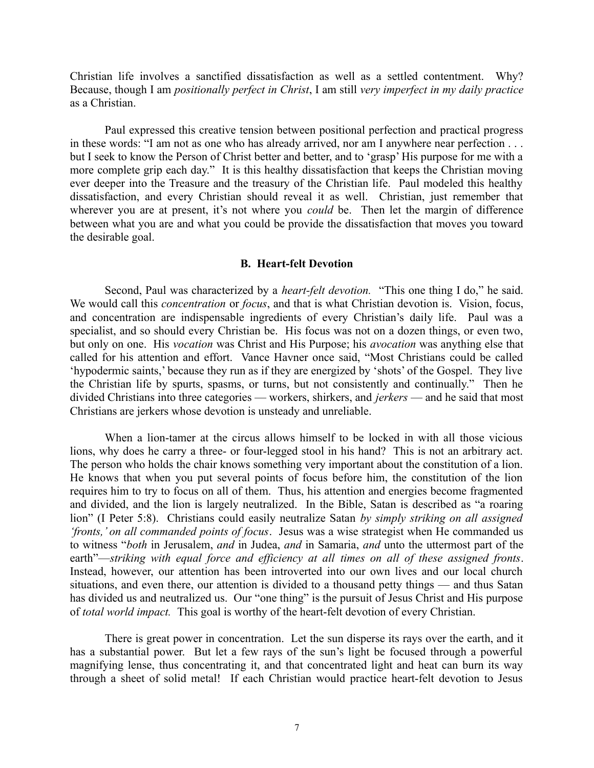Christian life involves a sanctified dissatisfaction as well as a settled contentment. Why? Because, though I am *positionally perfect in Christ*, I am still *very imperfect in my daily practice* as a Christian.

Paul expressed this creative tension between positional perfection and practical progress in these words: "I am not as one who has already arrived, nor am I anywhere near perfection . . . but I seek to know the Person of Christ better and better, and to 'grasp' His purpose for me with a more complete grip each day." It is this healthy dissatisfaction that keeps the Christian moving ever deeper into the Treasure and the treasury of the Christian life. Paul modeled this healthy dissatisfaction, and every Christian should reveal it as well. Christian, just remember that wherever you are at present, it's not where you *could* be. Then let the margin of difference between what you are and what you could be provide the dissatisfaction that moves you toward the desirable goal.

### **B. Heart-felt Devotion**

Second, Paul was characterized by a *heart-felt devotion.* "This one thing I do," he said. We would call this *concentration* or *focus*, and that is what Christian devotion is. Vision, focus, and concentration are indispensable ingredients of every Christian's daily life. Paul was a specialist, and so should every Christian be. His focus was not on a dozen things, or even two, but only on one. His *vocation* was Christ and His Purpose; his *avocation* was anything else that called for his attention and effort. Vance Havner once said, "Most Christians could be called 'hypodermic saints,' because they run as if they are energized by 'shots' of the Gospel. They live the Christian life by spurts, spasms, or turns, but not consistently and continually." Then he divided Christians into three categories — workers, shirkers, and *jerkers* — and he said that most Christians are jerkers whose devotion is unsteady and unreliable.

When a lion-tamer at the circus allows himself to be locked in with all those vicious lions, why does he carry a three- or four-legged stool in his hand? This is not an arbitrary act. The person who holds the chair knows something very important about the constitution of a lion. He knows that when you put several points of focus before him, the constitution of the lion requires him to try to focus on all of them. Thus, his attention and energies become fragmented and divided, and the lion is largely neutralized. In the Bible, Satan is described as "a roaring lion" (I Peter 5:8). Christians could easily neutralize Satan *by simply striking on all assigned 'fronts,' on all commanded points of focus*. Jesus was a wise strategist when He commanded us to witness "*both* in Jerusalem, *and* in Judea, *and* in Samaria, *and* unto the uttermost part of the earth"—*striking with equal force and efficiency at all times on all of these assigned fronts*. Instead, however, our attention has been introverted into our own lives and our local church situations, and even there, our attention is divided to a thousand petty things — and thus Satan has divided us and neutralized us. Our "one thing" is the pursuit of Jesus Christ and His purpose of *total world impact.* This goal is worthy of the heart-felt devotion of every Christian.

There is great power in concentration. Let the sun disperse its rays over the earth, and it has a substantial power. But let a few rays of the sun's light be focused through a powerful magnifying lense, thus concentrating it, and that concentrated light and heat can burn its way through a sheet of solid metal! If each Christian would practice heart-felt devotion to Jesus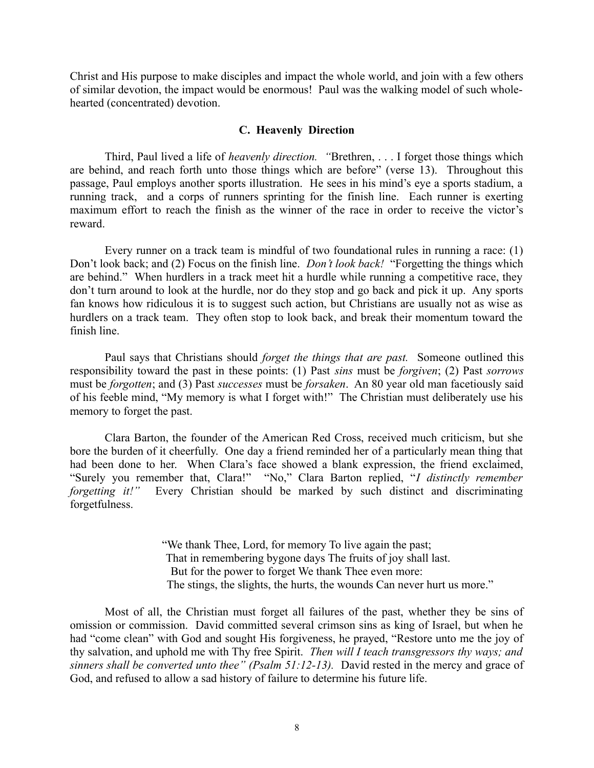Christ and His purpose to make disciples and impact the whole world, and join with a few others of similar devotion, the impact would be enormous! Paul was the walking model of such wholehearted (concentrated) devotion.

# **C. Heavenly Direction**

Third, Paul lived a life of *heavenly direction. "*Brethren, . . . I forget those things which are behind, and reach forth unto those things which are before" (verse 13). Throughout this passage, Paul employs another sports illustration. He sees in his mind's eye a sports stadium, a running track, and a corps of runners sprinting for the finish line. Each runner is exerting maximum effort to reach the finish as the winner of the race in order to receive the victor's reward.

Every runner on a track team is mindful of two foundational rules in running a race: (1) Don't look back; and (2) Focus on the finish line. *Don't look back!* "Forgetting the things which are behind." When hurdlers in a track meet hit a hurdle while running a competitive race, they don't turn around to look at the hurdle, nor do they stop and go back and pick it up. Any sports fan knows how ridiculous it is to suggest such action, but Christians are usually not as wise as hurdlers on a track team. They often stop to look back, and break their momentum toward the finish line.

Paul says that Christians should *forget the things that are past.* Someone outlined this responsibility toward the past in these points: (1) Past *sins* must be *forgiven*; (2) Past *sorrows* must be *forgotten*; and (3) Past *successes* must be *forsaken*. An 80 year old man facetiously said of his feeble mind, "My memory is what I forget with!" The Christian must deliberately use his memory to forget the past.

Clara Barton, the founder of the American Red Cross, received much criticism, but she bore the burden of it cheerfully. One day a friend reminded her of a particularly mean thing that had been done to her. When Clara's face showed a blank expression, the friend exclaimed, "Surely you remember that, Clara!" "No," Clara Barton replied, "*I distinctly remember* Every Christian should be marked by such distinct and discriminating forgetfulness.

> "We thank Thee, Lord, for memory To live again the past; That in remembering bygone days The fruits of joy shall last. But for the power to forget We thank Thee even more: The stings, the slights, the hurts, the wounds Can never hurt us more."

Most of all, the Christian must forget all failures of the past, whether they be sins of omission or commission. David committed several crimson sins as king of Israel, but when he had "come clean" with God and sought His forgiveness, he prayed, "Restore unto me the joy of thy salvation, and uphold me with Thy free Spirit. *Then will I teach transgressors thy ways; and sinners shall be converted unto thee" (Psalm 51:12-13).* David rested in the mercy and grace of God, and refused to allow a sad history of failure to determine his future life.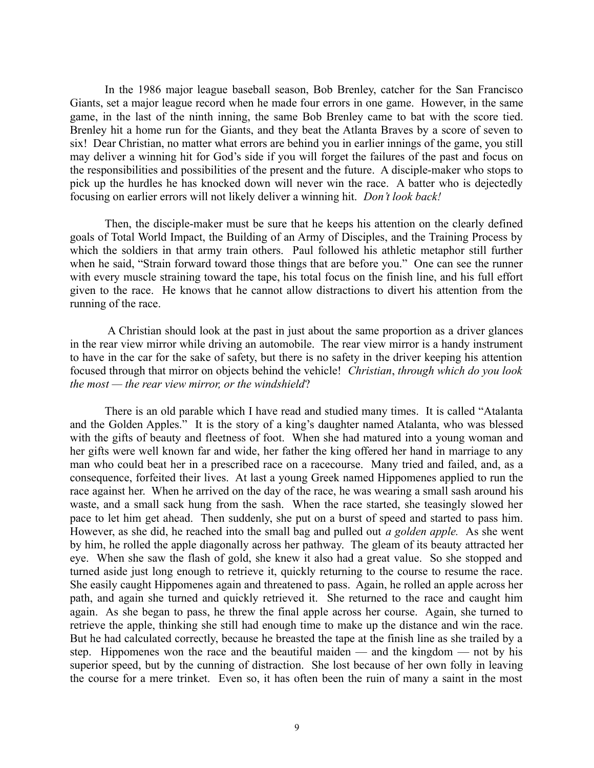In the 1986 major league baseball season, Bob Brenley, catcher for the San Francisco Giants, set a major league record when he made four errors in one game. However, in the same game, in the last of the ninth inning, the same Bob Brenley came to bat with the score tied. Brenley hit a home run for the Giants, and they beat the Atlanta Braves by a score of seven to six! Dear Christian, no matter what errors are behind you in earlier innings of the game, you still may deliver a winning hit for God's side if you will forget the failures of the past and focus on the responsibilities and possibilities of the present and the future. A disciple-maker who stops to pick up the hurdles he has knocked down will never win the race. A batter who is dejectedly focusing on earlier errors will not likely deliver a winning hit. *Don't look back!* 

Then, the disciple-maker must be sure that he keeps his attention on the clearly defined goals of Total World Impact, the Building of an Army of Disciples, and the Training Process by which the soldiers in that army train others. Paul followed his athletic metaphor still further when he said, "Strain forward toward those things that are before you." One can see the runner with every muscle straining toward the tape, his total focus on the finish line, and his full effort given to the race. He knows that he cannot allow distractions to divert his attention from the running of the race.

 A Christian should look at the past in just about the same proportion as a driver glances in the rear view mirror while driving an automobile. The rear view mirror is a handy instrument to have in the car for the sake of safety, but there is no safety in the driver keeping his attention focused through that mirror on objects behind the vehicle! *Christian*, *through which do you look the most — the rear view mirror, or the windshield*?

There is an old parable which I have read and studied many times. It is called "Atalanta and the Golden Apples." It is the story of a king's daughter named Atalanta, who was blessed with the gifts of beauty and fleetness of foot. When she had matured into a young woman and her gifts were well known far and wide, her father the king offered her hand in marriage to any man who could beat her in a prescribed race on a racecourse. Many tried and failed, and, as a consequence, forfeited their lives. At last a young Greek named Hippomenes applied to run the race against her. When he arrived on the day of the race, he was wearing a small sash around his waste, and a small sack hung from the sash. When the race started, she teasingly slowed her pace to let him get ahead. Then suddenly, she put on a burst of speed and started to pass him. However, as she did, he reached into the small bag and pulled out *a golden apple.* As she went by him, he rolled the apple diagonally across her pathway. The gleam of its beauty attracted her eye. When she saw the flash of gold, she knew it also had a great value. So she stopped and turned aside just long enough to retrieve it, quickly returning to the course to resume the race. She easily caught Hippomenes again and threatened to pass. Again, he rolled an apple across her path, and again she turned and quickly retrieved it. She returned to the race and caught him again. As she began to pass, he threw the final apple across her course. Again, she turned to retrieve the apple, thinking she still had enough time to make up the distance and win the race. But he had calculated correctly, because he breasted the tape at the finish line as she trailed by a step. Hippomenes won the race and the beautiful maiden — and the kingdom — not by his superior speed, but by the cunning of distraction. She lost because of her own folly in leaving the course for a mere trinket. Even so, it has often been the ruin of many a saint in the most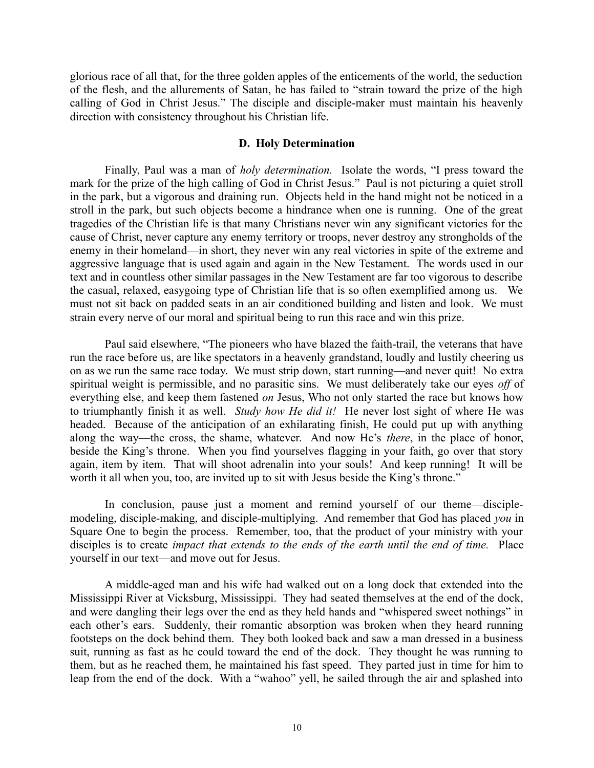glorious race of all that, for the three golden apples of the enticements of the world, the seduction of the flesh, and the allurements of Satan, he has failed to "strain toward the prize of the high calling of God in Christ Jesus." The disciple and disciple-maker must maintain his heavenly direction with consistency throughout his Christian life.

## **D. Holy Determination**

Finally, Paul was a man of *holy determination.* Isolate the words, "I press toward the mark for the prize of the high calling of God in Christ Jesus." Paul is not picturing a quiet stroll in the park, but a vigorous and draining run. Objects held in the hand might not be noticed in a stroll in the park, but such objects become a hindrance when one is running. One of the great tragedies of the Christian life is that many Christians never win any significant victories for the cause of Christ, never capture any enemy territory or troops, never destroy any strongholds of the enemy in their homeland—in short, they never win any real victories in spite of the extreme and aggressive language that is used again and again in the New Testament. The words used in our text and in countless other similar passages in the New Testament are far too vigorous to describe the casual, relaxed, easygoing type of Christian life that is so often exemplified among us. We must not sit back on padded seats in an air conditioned building and listen and look. We must strain every nerve of our moral and spiritual being to run this race and win this prize.

Paul said elsewhere, "The pioneers who have blazed the faith-trail, the veterans that have run the race before us, are like spectators in a heavenly grandstand, loudly and lustily cheering us on as we run the same race today. We must strip down, start running—and never quit! No extra spiritual weight is permissible, and no parasitic sins. We must deliberately take our eyes *off* of everything else, and keep them fastened *on* Jesus, Who not only started the race but knows how to triumphantly finish it as well. *Study how He did it!* He never lost sight of where He was headed. Because of the anticipation of an exhilarating finish, He could put up with anything along the way—the cross, the shame, whatever. And now He's *there*, in the place of honor, beside the King's throne. When you find yourselves flagging in your faith, go over that story again, item by item. That will shoot adrenalin into your souls! And keep running! It will be worth it all when you, too, are invited up to sit with Jesus beside the King's throne."

In conclusion, pause just a moment and remind yourself of our theme—disciplemodeling, disciple-making, and disciple-multiplying. And remember that God has placed *you* in Square One to begin the process. Remember, too, that the product of your ministry with your disciples is to create *impact that extends to the ends of the earth until the end of time.* Place yourself in our text—and move out for Jesus.

A middle-aged man and his wife had walked out on a long dock that extended into the Mississippi River at Vicksburg, Mississippi. They had seated themselves at the end of the dock, and were dangling their legs over the end as they held hands and "whispered sweet nothings" in each other's ears. Suddenly, their romantic absorption was broken when they heard running footsteps on the dock behind them. They both looked back and saw a man dressed in a business suit, running as fast as he could toward the end of the dock. They thought he was running to them, but as he reached them, he maintained his fast speed. They parted just in time for him to leap from the end of the dock. With a "wahoo" yell, he sailed through the air and splashed into